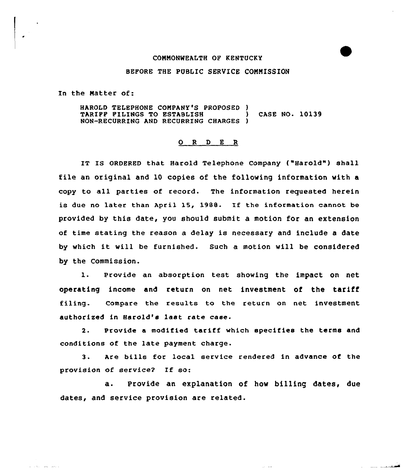### COMMONWEALTH OF KENTUCKY

### BEFORE THE PUBLIC SERVICE COMMISSION

In the Natter of:

and the same and a

HAROLD TELEPHONE COMPANY'S PROPOSED ) TARIFF FILINGS TO ESTABLISH (CASE NO. 10139 NON-RECURRING AND RECURRING CHARGES )

# 0 <sup>R</sup> <sup>D</sup> E <sup>R</sup>

IT IS ORDERED that Harold Telephone Company ("Harold") shall file an original and 10 copies of the following information with a copy to all parties of record. The information requested herein is due no later than April 15, 1988. If the information cannot be provided by this date, you should submit a motion for an extension of time stating the reason a delay is necessary and include a date by which it will be furnished. Such <sup>a</sup> motion will be considered by the Commission.

1. provide an absorption test showing the impact on net operating income and return on net investment of the tariff filing. Compare the results to the return on net investment authorised in Harold's last rate case.

2. Provide a modified tariff which specifies the terms and conditions of the late payment charge.

3. Are bills for local service rendered in advance of the provision of service? If so:

a. Provide an explanation of how billing dates, due dates, and service provision are related.

 $\mu$  ,  $\mu$  .

فتستخدم الملب